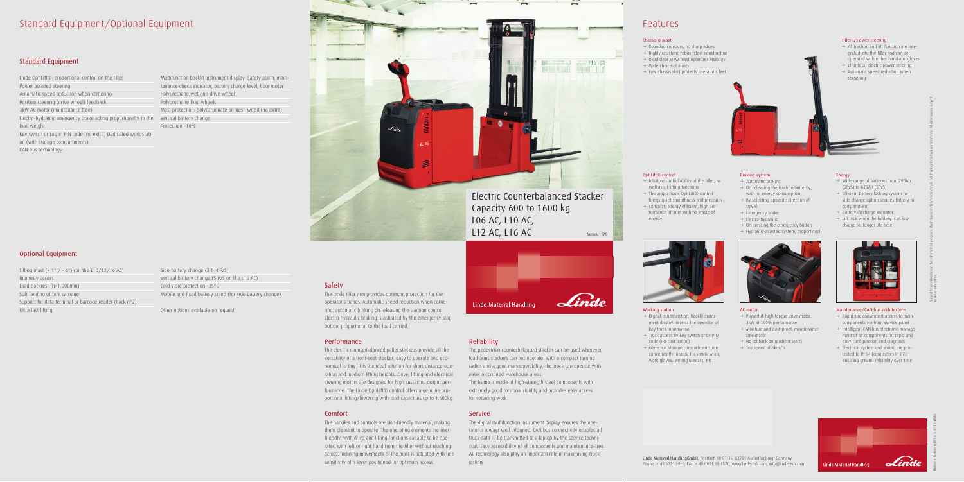## Standard Equipment/Optional Equipment

### Standard Equipment

Linde OptiLift®: proportional control on the tiller Power assisted steering Automatic speed reduction when cornering Positive steering (drive wheel) feedback 3kW AC motor (maintenance free) Electro-hydraulic emergency brake acting proportionally to the Vertical battery change load weight Key switch or Log in PIN code (no extra) Dedicated work station (with storage compartments) CAN bus technology

Tilting mast  $(+ 1^{\circ} / - 6^{\circ})$  (on the L10/12/16 AC) Biometry access Load backrest (h=1,000mm) Soft landing of fork carriage Support for data terminal or barcode reader (Pack n°2) Ultra fast lifting

### Optional Equipment

Side battery change (3 & 4 PzS) Vertical battery change (5 PzS on the L16 AC) Cold store protection –35°C Mobile and fixed battery stand (for side battery change)

Multifunction backlit instrument display: Safety alarm, maintenance check indicator, battery charge level, hour meter Polyurethane wet grip drive wheel Polyurethane load wheels Mast protection: polycarbonate or mesh wired (no extra) Protection –10°C

Other options available on request

### Safety

The Linde tiller arm provides optimum protection for the operator's hands. Automatic speed reduction when cornering, automatic braking on releasing the traction control. Electro-hydraulic braking is actuated by the emergency stop button, proportional to the load carried.

### Performance

 $\rightarrow$  Digital, multifunction, backlit instrument display informs the operator of

 $\rightarrow$  Truck access by key switch or by PIN

The electric counterbalanced pallet stackers provide all the versatility of a front-seat stacker, easy to operate and economical to buy. It is the ideal solution for short-distance operation and medium lifting heights. Drive, lifting and electrical steering motors are designed for high sustained output performance. The Linde OptiLift® control offers a genuine proportional lifting/lowering with load capacities up to 1,600kg.

 $\rightarrow$  Generous storage compartments are conveniently located for shrink-wrap, work gloves, writing utensils, etc

- $\rightarrow$  Intuitive controllability of the tiller, as well as all lifting functions
- $\rightarrow$  The proportional OptiLift® control brings quiet smoothness and precision
- $\rightarrow$  Compact, energy efficient, high performance lift unit with no waste of energy

### Comfort

- $\rightarrow$  Wide range of batteries from 250Ah (2PzS) to 625Ah (5PzS)
- $\rightarrow$  Efficient battery locking system for side change option secures battery in compartment
- $\rightarrow$  Battery discharge indicator
- $\rightarrow$  Lift lock when the battery is at low charge for longer life time



The handles and controls are skin-friendly material, making them pleasant to operate. The operating elements are user friendly, with drive and lifting functions capable to be operated with left or right hand from the tiller without reaching across. Inclining movements of the mast is actuated with fine sensitivity of a lever positioned for optimum access.



- $\rightarrow$  Rapid and convenient access to main components via front service panel
- $\rightarrow$  Intelligent CAN bus electronic management of all components for rapid and easy configuration and diagnosis
- $\rightarrow$  Electrical system and wiring are protected to IP 54 (connectors IP 67), ensuring greater reliability over time



### Reliability

The pedestrian counterbalanced stacker can be used wherever load arms stackers can not operate. With a compact turning radius and a good manoeuvrability, the truck can operate with

ease in confined warehouse areas. for servicing work.

### **Service**

The frame is made of high-strength steel components with extremely good torsional rigidity and provides easy access

The digital multifunction instrument display ensures the operator is always well informed. CAN bus connectivity enables all truck data to be transmitted to a laptop by the service technician. Easy accessibility of all components and maintenance-free AC technology also play an important role in maximising truck uptime.

### Features



Working station

key truck information

code (no-cost option)

### OptiLift® control

#### AC motor

- $\rightarrow$  Powerful, high torque drive motor, 3kW at 100% performance
- $\rightarrow$  Moisture and dust-proof, maintenancefree motor
- $\rightarrow$  No rollback on gradient starts
- $\rightarrow$  Top speed of 6km/h

### Energy

### Maintenance/CAN-bus architecture

Subject to modification in the interests of progress. Illustrations and technical details not binding for actual constructions. All dimensions subject

to usual tolerances.

### Tiller & Power steering

- $\rightarrow$  All traction and lift function are integrated into the tiller and can be operated with either hand and gloves
- $\rightarrow$  Effortless, electric power steering
- $\rightarrow$  Automatic speed reduction when



### Braking system

- $\rightarrow$  Automatic braking
- $\rightarrow$  On releasing the traction butterfly, with no energy consumption
- $\rightarrow$  By selecting opposite direction of travel
- $\rightarrow$  Emergency brake
- $\rightarrow$  Electro-hydraulic
- $\rightarrow$  On pressing the emergency button  $\rightarrow$  Hydraulic-assisted system, proportional
- 

### Chassis & Mast

- $\rightarrow$  Rounded contours, no sharp edges
- $\rightarrow$  Highly resistant, robust steel construction  $\rightarrow$  Rigid clear view mast optimizes visibility
- $\rightarrow$  Wide choice of masts
- $\rightarrow$  Low chassis skirt protects operator's feet